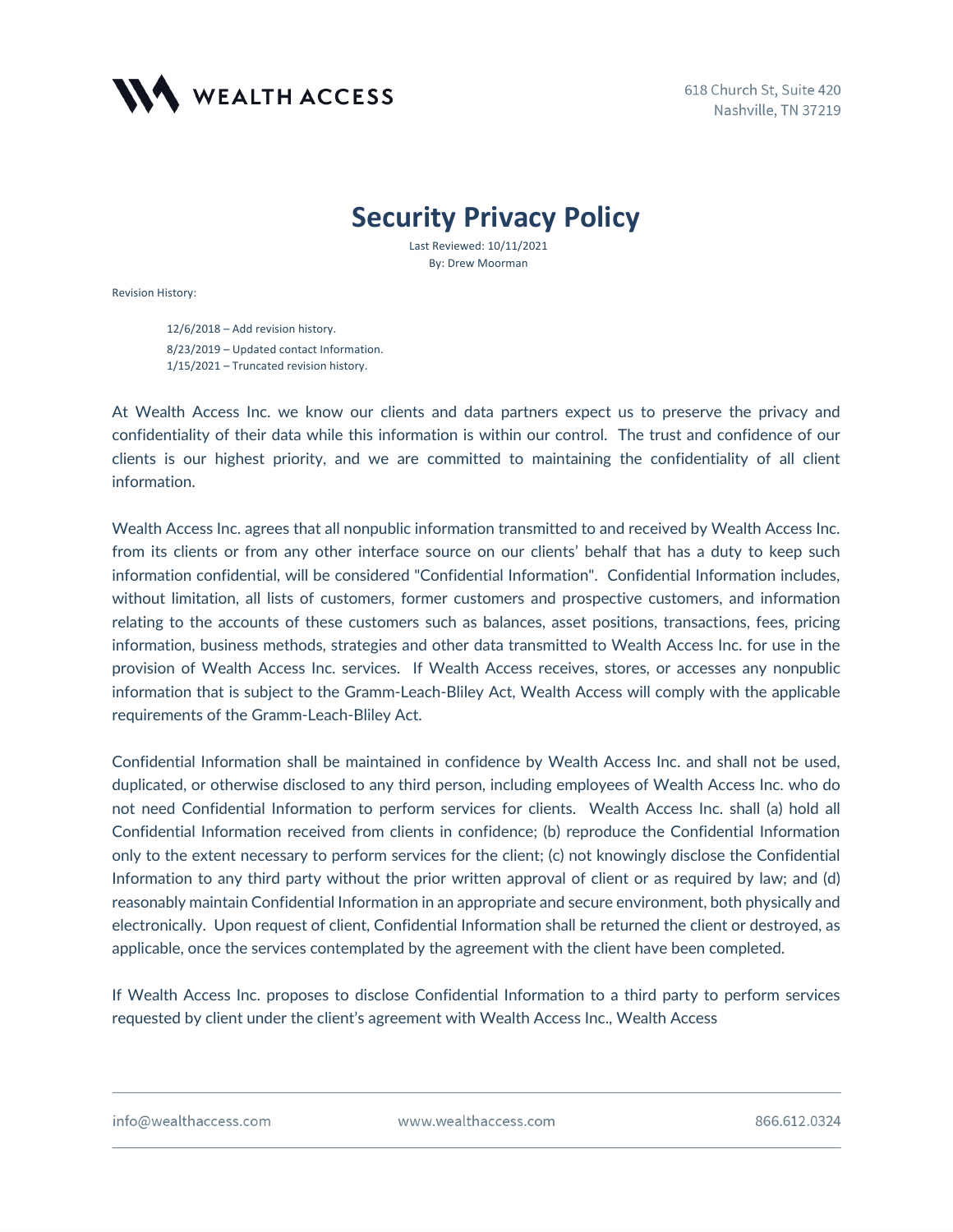

## **Security Privacy Policy**

Last Reviewed: 10/11/2021 By: Drew Moorman

Revision History:

12/6/2018 – Add revision history. 8/23/2019 – Updated contact Information. 1/15/2021 – Truncated revision history.

At Wealth Access Inc. we know our clients and data partners expect us to preserve the privacy and confidentiality of their data while this information is within our control. The trust and confidence of our clients is our highest priority, and we are committed to maintaining the confidentiality of all client information.

Wealth Access Inc. agrees that all nonpublic information transmitted to and received by Wealth Access Inc. from its clients or from any other interface source on our clients' behalf that has a duty to keep such information confidential, will be considered "Confidential Information". Confidential Information includes, without limitation, all lists of customers, former customers and prospective customers, and information relating to the accounts of these customers such as balances, asset positions, transactions, fees, pricing information, business methods, strategies and other data transmitted to Wealth Access Inc. for use in the provision of Wealth Access Inc. services. If Wealth Access receives, stores, or accesses any nonpublic information that is subject to the Gramm-Leach-Bliley Act, Wealth Access will comply with the applicable requirements of the Gramm-Leach-Bliley Act.

Confidential Information shall be maintained in confidence by Wealth Access Inc. and shall not be used, duplicated, or otherwise disclosed to any third person, including employees of Wealth Access Inc. who do not need Confidential Information to perform services for clients. Wealth Access Inc. shall (a) hold all Confidential Information received from clients in confidence; (b) reproduce the Confidential Information only to the extent necessary to perform services for the client; (c) not knowingly disclose the Confidential Information to any third party without the prior written approval of client or as required by law; and (d) reasonably maintain Confidential Information in an appropriate and secure environment, both physically and electronically. Upon request of client, Confidential Information shall be returned the client or destroyed, as applicable, once the services contemplated by the agreement with the client have been completed.

If Wealth Access Inc. proposes to disclose Confidential Information to a third party to perform services requested by client under the client's agreement with Wealth Access Inc., Wealth Access

info@wealthaccess.com

www.wealthaccess.com